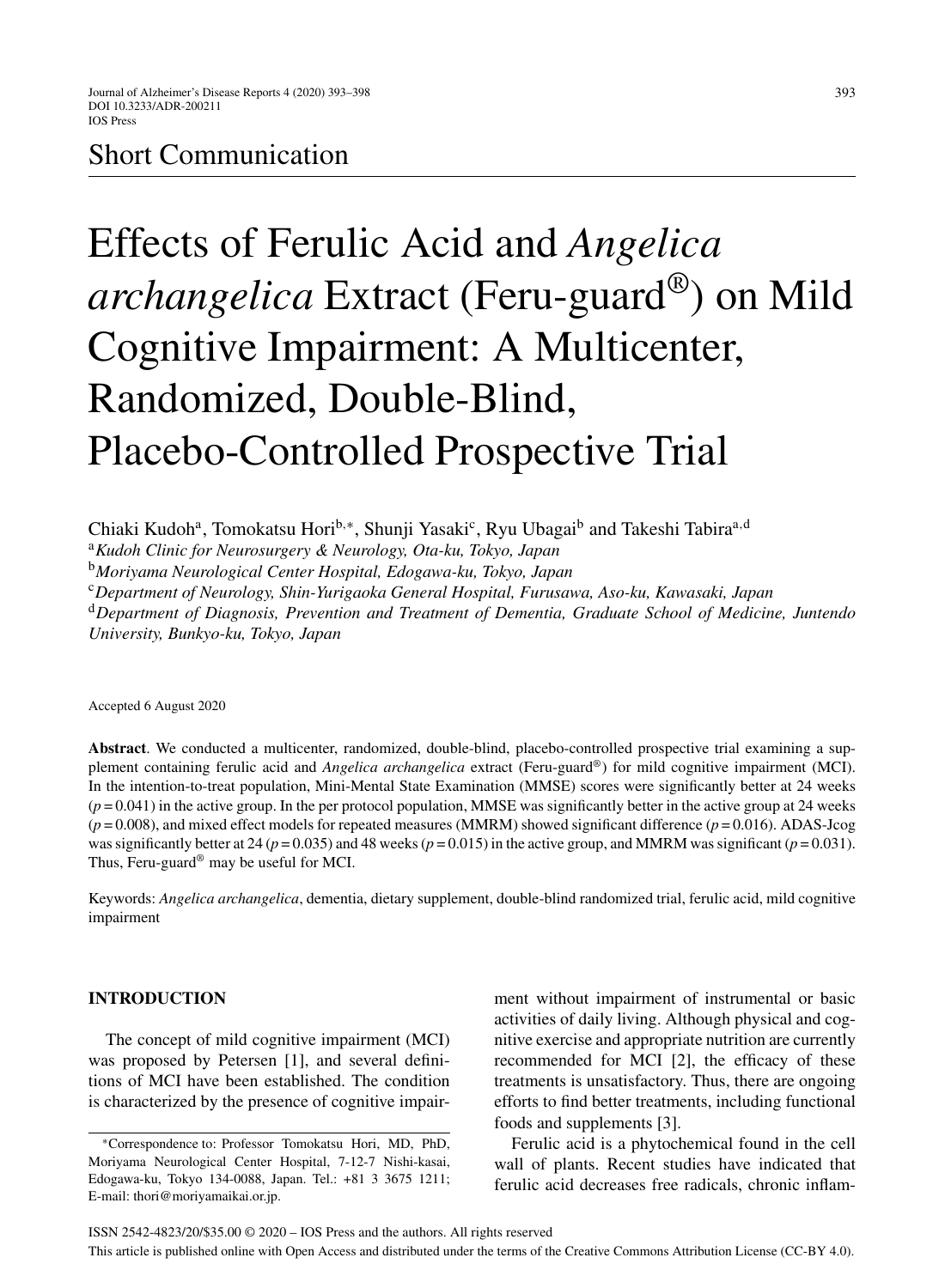# Short Communication

# Effects of Ferulic Acid and *Angelica archangelica* Extract (Feru-guard®) on Mild Cognitive Impairment: A Multicenter, Randomized, Double-Blind, Placebo-Controlled Prospective Trial

Chiaki Kudoh<sup>a</sup>, Tomokatsu Hori<sup>b,∗</sup>, Shunji Yasaki<sup>c</sup>, Ryu Ubagai<sup>b</sup> and Takeshi Tabira<sup>a,d</sup>

<sup>a</sup>*Kudoh Clinic for Neurosurgery & Neurology, Ota-ku, Tokyo, Japan*

<sup>b</sup>*Moriyama Neurological Center Hospital, Edogawa-ku, Tokyo, Japan*

<sup>c</sup>*Department of Neurology, Shin-Yurigaoka General Hospital, Furusawa, Aso-ku, Kawasaki, Japan*

<sup>d</sup>*Department of Diagnosis, Prevention and Treatment of Dementia, Graduate School of Medicine, Juntendo University, Bunkyo-ku, Tokyo, Japan*

Accepted 6 August 2020

**Abstract**. We conducted a multicenter, randomized, double-blind, placebo-controlled prospective trial examining a supplement containing ferulic acid and *Angelica archangelica* extract (Feru-guard®) for mild cognitive impairment (MCI). In the intention-to-treat population, Mini-Mental State Examination (MMSE) scores were significantly better at 24 weeks  $(p=0.041)$  in the active group. In the per protocol population, MMSE was significantly better in the active group at 24 weeks (*p* = 0.008), and mixed effect models for repeated measures (MMRM) showed significant difference (*p* = 0.016). ADAS-Jcog was significantly better at 24 ( $p = 0.035$ ) and 48 weeks ( $p = 0.015$ ) in the active group, and MMRM was significant ( $p = 0.031$ ). Thus, Feru-guard® may be useful for MCI.

Keywords: *Angelica archangelica*, dementia, dietary supplement, double-blind randomized trial, ferulic acid, mild cognitive impairment

# **INTRODUCTION**

The concept of mild cognitive impairment (MCI) was proposed by Petersen [1], and several definitions of MCI have been established. The condition is characterized by the presence of cognitive impairment without impairment of instrumental or basic activities of daily living. Although physical and cognitive exercise and appropriate nutrition are currently recommended for MCI [2], the efficacy of these treatments is unsatisfactory. Thus, there are ongoing efforts to find better treatments, including functional foods and supplements [3].

Ferulic acid is a phytochemical found in the cell wall of plants. Recent studies have indicated that ferulic acid decreases free radicals, chronic inflam-

<sup>∗</sup>Correspondence to: Professor Tomokatsu Hori, MD, PhD, Moriyama Neurological Center Hospital, 7-12-7 Nishi-kasai, Edogawa-ku, Tokyo 134-0088, Japan. Tel.: +81 3 3675 1211; E-mail: [thori@moriyamaikai.or.jp.](mailto:thori@moriyamaikai.or.jp)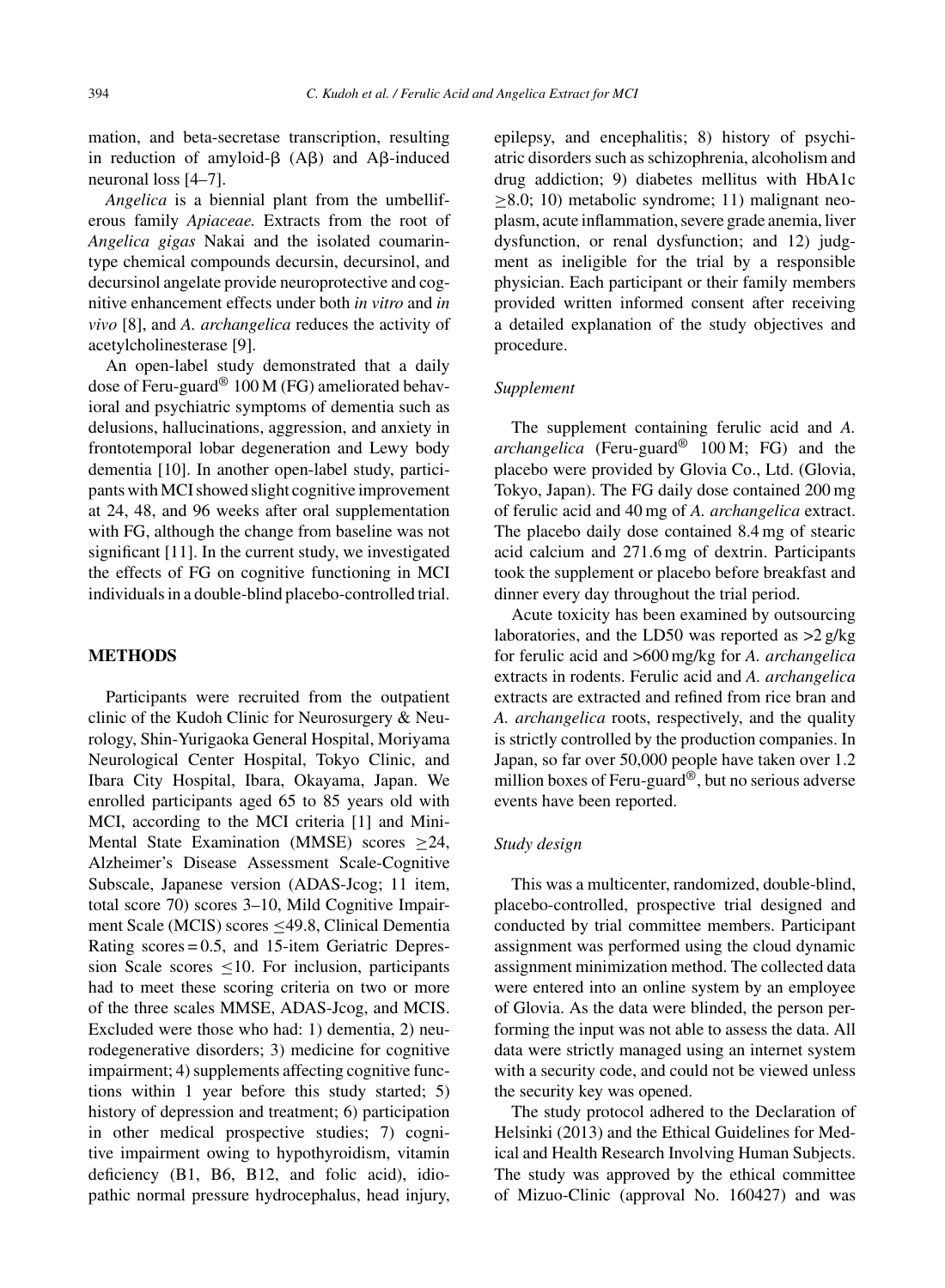mation, and beta-secretase transcription, resulting in reduction of amyloid- $\beta$  (A $\beta$ ) and A $\beta$ -induced neuronal loss [4–7].

*Angelica* is a biennial plant from the umbelliferous family *Apiaceae.* Extracts from the root of *Angelica gigas* Nakai and the isolated coumarintype chemical compounds decursin, decursinol, and decursinol angelate provide neuroprotective and cognitive enhancement effects under both *in vitro* and *in vivo* [8], and *A. archangelica* reduces the activity of acetylcholinesterase [9].

An open-label study demonstrated that a daily dose of Feru-guard® 100 M (FG) ameliorated behavioral and psychiatric symptoms of dementia such as delusions, hallucinations, aggression, and anxiety in frontotemporal lobar degeneration and Lewy body dementia [10]. In another open-label study, participants with MCI showed slight cognitive improvement at 24, 48, and 96 weeks after oral supplementation with FG, although the change from baseline was not significant [11]. In the current study, we investigated the effects of FG on cognitive functioning in MCI individuals in a double-blind placebo-controlled trial.

# **METHODS**

Participants were recruited from the outpatient clinic of the Kudoh Clinic for Neurosurgery & Neurology, Shin-Yurigaoka General Hospital, Moriyama Neurological Center Hospital, Tokyo Clinic, and Ibara City Hospital, Ibara, Okayama, Japan. We enrolled participants aged 65 to 85 years old with MCI, according to the MCI criteria [1] and Mini-Mental State Examination (MMSE) scores ≥24, Alzheimer's Disease Assessment Scale-Cognitive Subscale, Japanese version (ADAS-Jcog; 11 item, total score 70) scores 3–10, Mild Cognitive Impairment Scale (MCIS) scores ≤49.8, Clinical Dementia Rating scores = 0.5, and 15-item Geriatric Depression Scale scores  $\leq 10$ . For inclusion, participants had to meet these scoring criteria on two or more of the three scales MMSE, ADAS-Jcog, and MCIS. Excluded were those who had: 1) dementia, 2) neurodegenerative disorders; 3) medicine for cognitive impairment; 4) supplements affecting cognitive functions within 1 year before this study started; 5) history of depression and treatment; 6) participation in other medical prospective studies; 7) cognitive impairment owing to hypothyroidism, vitamin deficiency (B1, B6, B12, and folic acid), idiopathic normal pressure hydrocephalus, head injury,

epilepsy, and encephalitis; 8) history of psychiatric disorders such as schizophrenia, alcoholism and drug addiction; 9) diabetes mellitus with HbA1c  $\geq$ 8.0; 10) metabolic syndrome; 11) malignant neoplasm, acute inflammation, severe grade anemia, liver dysfunction, or renal dysfunction; and 12) judgment as ineligible for the trial by a responsible physician. Each participant or their family members provided written informed consent after receiving a detailed explanation of the study objectives and procedure.

# *Supplement*

The supplement containing ferulic acid and *A. archangelica* (Feru-guard® 100 M; FG) and the placebo were provided by Glovia Co., Ltd. (Glovia, Tokyo, Japan). The FG daily dose contained 200 mg of ferulic acid and 40 mg of *A. archangelica* extract. The placebo daily dose contained 8.4 mg of stearic acid calcium and 271.6 mg of dextrin. Participants took the supplement or placebo before breakfast and dinner every day throughout the trial period.

Acute toxicity has been examined by outsourcing laboratories, and the LD50 was reported as >2 g/kg for ferulic acid and >600 mg/kg for *A. archangelica* extracts in rodents. Ferulic acid and *A. archangelica* extracts are extracted and refined from rice bran and *A. archangelica* roots, respectively, and the quality is strictly controlled by the production companies. In Japan, so far over 50,000 people have taken over 1.2 million boxes of Feru-guard®, but no serious adverse events have been reported.

# *Study design*

This was a multicenter, randomized, double-blind, placebo-controlled, prospective trial designed and conducted by trial committee members. Participant assignment was performed using the cloud dynamic assignment minimization method. The collected data were entered into an online system by an employee of Glovia. As the data were blinded, the person performing the input was not able to assess the data. All data were strictly managed using an internet system with a security code, and could not be viewed unless the security key was opened.

The study protocol adhered to the Declaration of Helsinki (2013) and the Ethical Guidelines for Medical and Health Research Involving Human Subjects. The study was approved by the ethical committee of Mizuo-Clinic (approval No. 160427) and was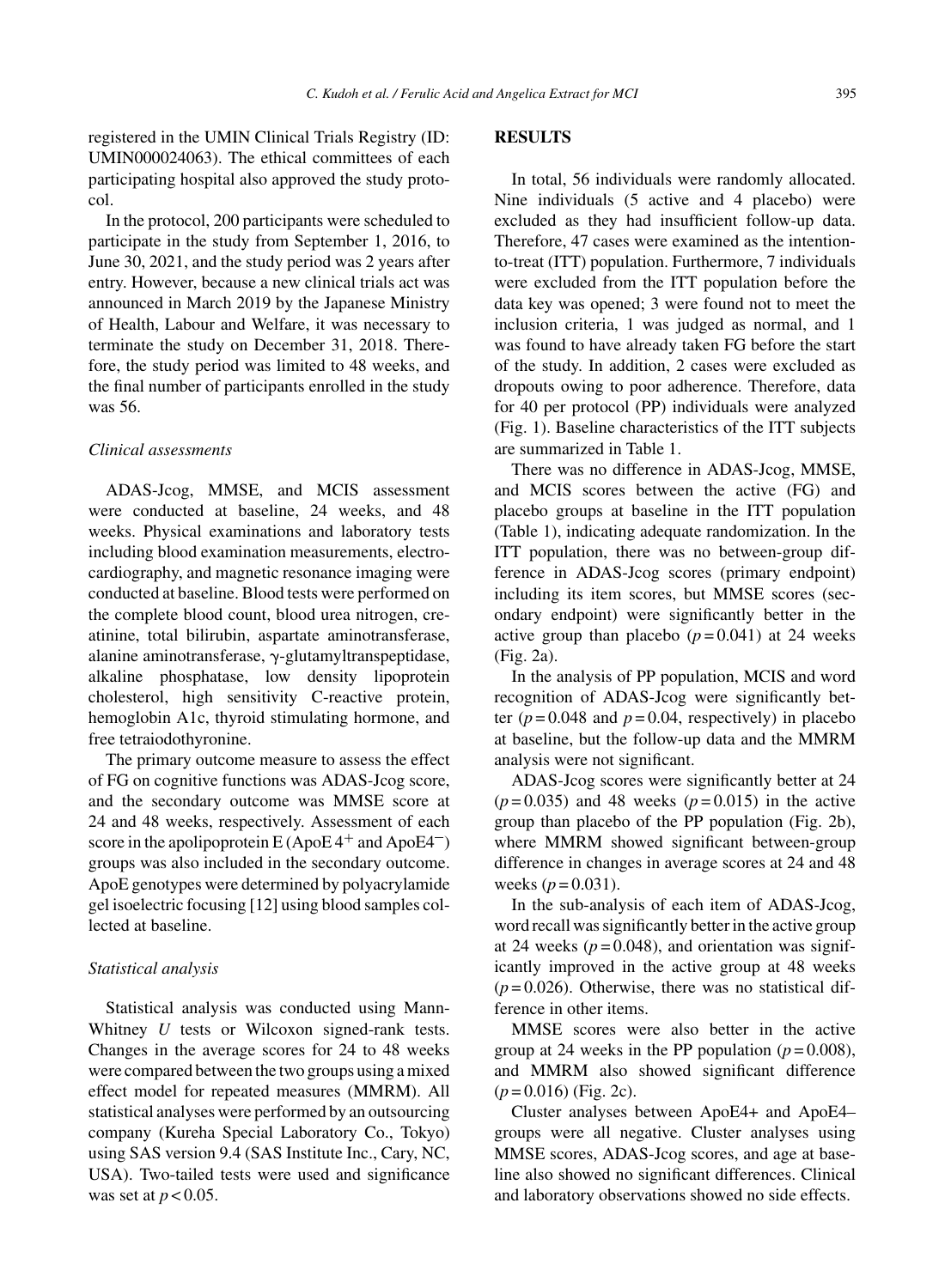registered in the UMIN Clinical Trials Registry (ID: UMIN000024063). The ethical committees of each participating hospital also approved the study protocol.

In the protocol, 200 participants were scheduled to participate in the study from September 1, 2016, to June 30, 2021, and the study period was 2 years after entry. However, because a new clinical trials act was announced in March 2019 by the Japanese Ministry of Health, Labour and Welfare, it was necessary to terminate the study on December 31, 2018. Therefore, the study period was limited to 48 weeks, and the final number of participants enrolled in the study was 56.

# *Clinical assessments*

ADAS-Jcog, MMSE, and MCIS assessment were conducted at baseline, 24 weeks, and 48 weeks. Physical examinations and laboratory tests including blood examination measurements, electrocardiography, and magnetic resonance imaging were conducted at baseline. Blood tests were performed on the complete blood count, blood urea nitrogen, creatinine, total bilirubin, aspartate aminotransferase, alanine aminotransferase,  $\gamma$ -glutamyltranspeptidase, alkaline phosphatase, low density lipoprotein cholesterol, high sensitivity C-reactive protein, hemoglobin A1c, thyroid stimulating hormone, and free tetraiodothyronine.

The primary outcome measure to assess the effect of FG on cognitive functions was ADAS-Jcog score, and the secondary outcome was MMSE score at 24 and 48 weeks, respectively. Assessment of each score in the apolipoprotein E (ApoE  $4^+$  and ApoE $4^-$ ) groups was also included in the secondary outcome. ApoE genotypes were determined by polyacrylamide gel isoelectric focusing [12] using blood samples collected at baseline.

#### *Statistical analysis*

Statistical analysis was conducted using Mann-Whitney *U* tests or Wilcoxon signed-rank tests. Changes in the average scores for 24 to 48 weeks were compared between the two groups using a mixed effect model for repeated measures (MMRM). All statistical analyses were performed by an outsourcing company (Kureha Special Laboratory Co., Tokyo) using SAS version 9.4 (SAS Institute Inc., Cary, NC, USA). Two-tailed tests were used and significance was set at  $p < 0.05$ .

# **RESULTS**

In total, 56 individuals were randomly allocated. Nine individuals (5 active and 4 placebo) were excluded as they had insufficient follow-up data. Therefore, 47 cases were examined as the intentionto-treat (ITT) population. Furthermore, 7 individuals were excluded from the ITT population before the data key was opened; 3 were found not to meet the inclusion criteria, 1 was judged as normal, and 1 was found to have already taken FG before the start of the study. In addition, 2 cases were excluded as dropouts owing to poor adherence. Therefore, data for 40 per protocol (PP) individuals were analyzed (Fig. 1). Baseline characteristics of the ITT subjects are summarized in Table 1.

There was no difference in ADAS-Jcog, MMSE, and MCIS scores between the active (FG) and placebo groups at baseline in the ITT population (Table 1), indicating adequate randomization. In the ITT population, there was no between-group difference in ADAS-Jcog scores (primary endpoint) including its item scores, but MMSE scores (secondary endpoint) were significantly better in the active group than placebo  $(p=0.041)$  at 24 weeks (Fig. 2a).

In the analysis of PP population, MCIS and word recognition of ADAS-Jcog were significantly better  $(p=0.048$  and  $p=0.04$ , respectively) in placebo at baseline, but the follow-up data and the MMRM analysis were not significant.

ADAS-Jcog scores were significantly better at 24  $(p=0.035)$  and 48 weeks  $(p=0.015)$  in the active group than placebo of the PP population (Fig. 2b), where MMRM showed significant between-group difference in changes in average scores at 24 and 48 weeks  $(p = 0.031)$ .

In the sub-analysis of each item of ADAS-Jcog, word recall was significantly better in the active group at 24 weeks  $(p=0.048)$ , and orientation was significantly improved in the active group at 48 weeks  $(p=0.026)$ . Otherwise, there was no statistical difference in other items.

MMSE scores were also better in the active group at 24 weeks in the PP population  $(p=0.008)$ , and MMRM also showed significant difference (*p* = 0.016) (Fig. 2c).

Cluster analyses between ApoE4+ and ApoE4– groups were all negative. Cluster analyses using MMSE scores, ADAS-Jcog scores, and age at baseline also showed no significant differences. Clinical and laboratory observations showed no side effects.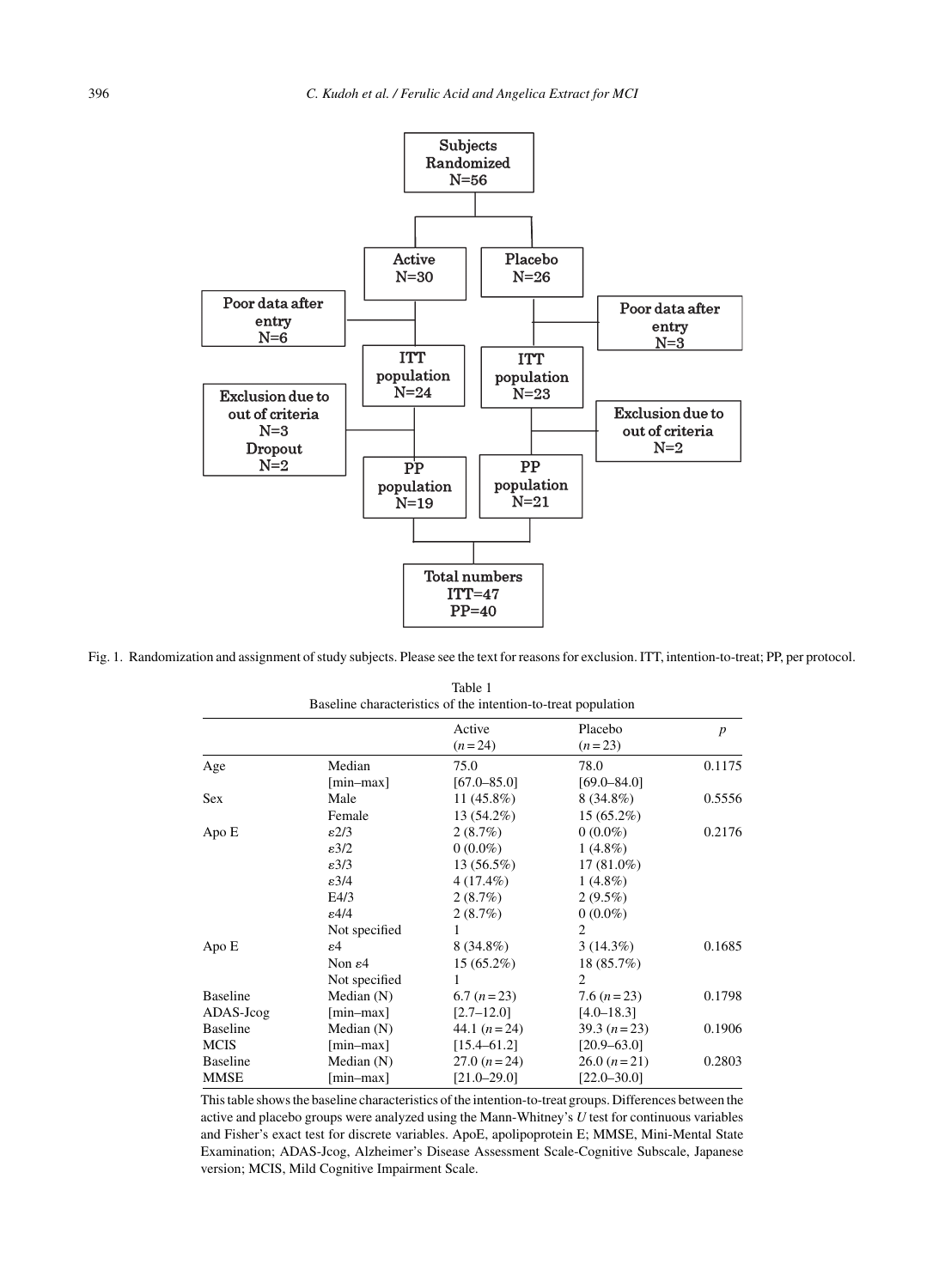

Fig. 1. Randomization and assignment of study subjects. Please see the text for reasons for exclusion. ITT, intention-to-treat; PP, per protocol.

| Baseline characteristics of the intention-to-treat population |                     |                    |                     |                  |
|---------------------------------------------------------------|---------------------|--------------------|---------------------|------------------|
|                                                               |                     | Active<br>$(n=24)$ | Placebo<br>$(n=23)$ | $\boldsymbol{p}$ |
| Age                                                           | Median              | 75.0               | 78.0                | 0.1175           |
|                                                               | $[min-max]$         | $[67.0 - 85.0]$    | $[69.0 - 84.0]$     |                  |
| Sex                                                           | Male                | $11(45.8\%)$       | $8(34.8\%)$         | 0.5556           |
|                                                               | Female              | 13 (54.2%)         | $15(65.2\%)$        |                  |
| Apo E                                                         | $\varepsilon$ 2/3   | 2(8.7%)            | $0(0.0\%)$          | 0.2176           |
|                                                               | $\epsilon$ 3/2      | $0(0.0\%)$         | $1(4.8\%)$          |                  |
|                                                               | $\epsilon$ 3/3      | 13(56.5%)          | $17(81.0\%)$        |                  |
|                                                               | $\epsilon$ 3/4      | $4(17.4\%)$        | $1(4.8\%)$          |                  |
|                                                               | E4/3                | 2(8.7%)            | $2(9.5\%)$          |                  |
|                                                               | $\epsilon$ 4/4      | 2(8.7%)            | $0(0.0\%)$          |                  |
|                                                               | Not specified       |                    | $\overline{2}$      |                  |
| Apo E                                                         | ε4                  | $8(34.8\%)$        | $3(14.3\%)$         | 0.1685           |
|                                                               | Non $\varepsilon$ 4 | $15(65.2\%)$       | 18 (85.7%)          |                  |
|                                                               | Not specified       | 1                  | $\overline{2}$      |                  |
| <b>Baseline</b>                                               | Median $(N)$        | $6.7 (n=23)$       | 7.6 $(n=23)$        | 0.1798           |
| ADAS-Jcog                                                     | $[min-max]$         | $[2.7 - 12.0]$     | $[4.0 - 18.3]$      |                  |
| <b>Baseline</b>                                               | Median $(N)$        | 44.1 $(n=24)$      | $39.3 (n=23)$       | 0.1906           |
| <b>MCIS</b>                                                   | $[min-max]$         | $[15.4 - 61.2]$    | $[20.9 - 63.0]$     |                  |
| <b>Baseline</b>                                               | Median (N)          | $27.0 (n=24)$      | $26.0 (n=21)$       | 0.2803           |
| MMSE                                                          | [min-max]           | $[21.0 - 29.0]$    | $[22.0 - 30.0]$     |                  |

Table 1

This table shows the baseline characteristics of the intention-to-treat groups. Differences between the active and placebo groups were analyzed using the Mann-Whitney's *U* test for continuous variables and Fisher's exact test for discrete variables. ApoE, apolipoprotein E; MMSE, Mini-Mental State Examination; ADAS-Jcog, Alzheimer's Disease Assessment Scale-Cognitive Subscale, Japanese version; MCIS, Mild Cognitive Impairment Scale.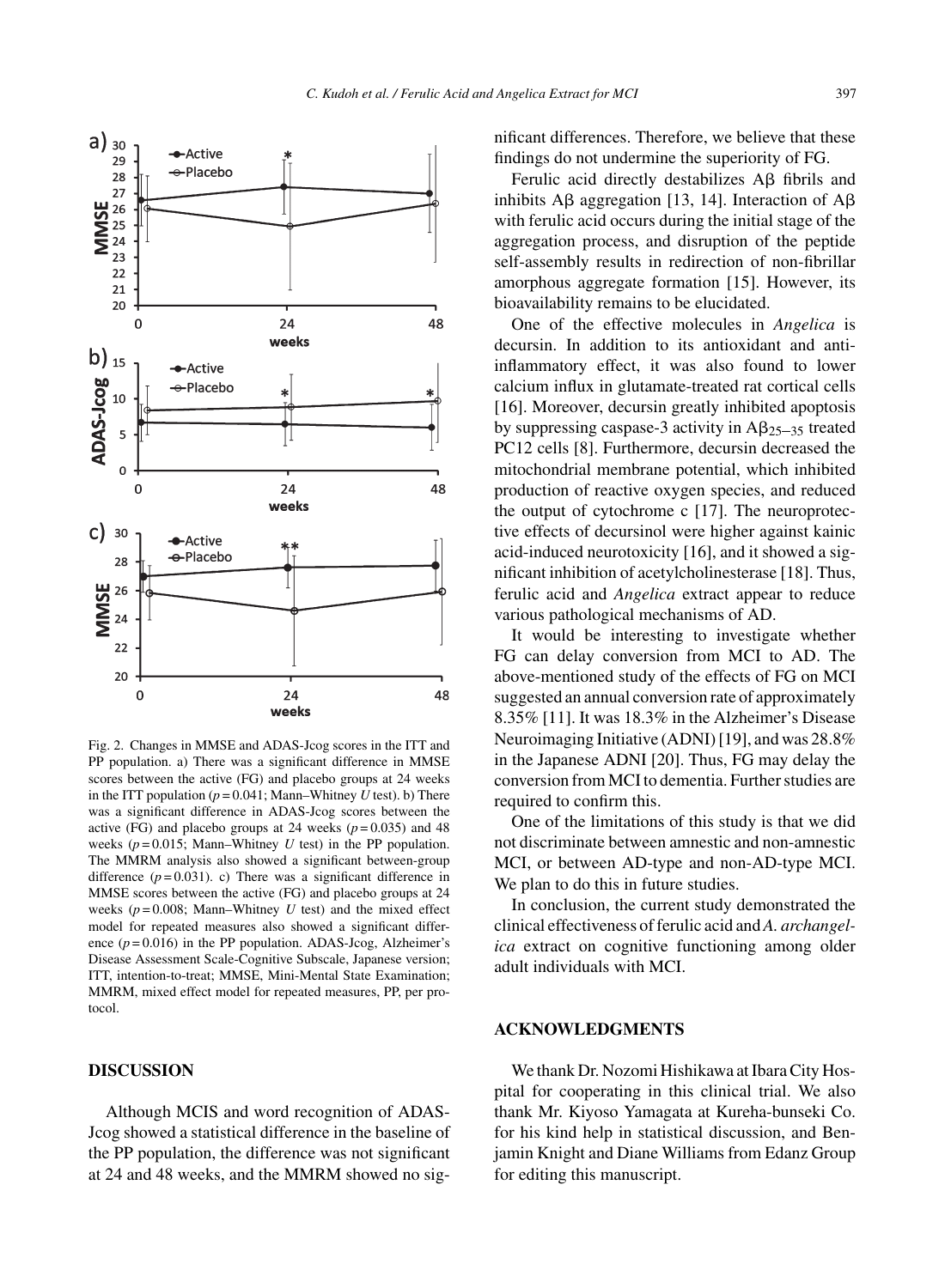

Fig. 2. Changes in MMSE and ADAS-Jcog scores in the ITT and PP population. a) There was a significant difference in MMSE scores between the active (FG) and placebo groups at 24 weeks in the ITT population  $(p = 0.041; \text{ Mann}-\text{Whitney } U \text{ test})$ . b) There was a significant difference in ADAS-Jcog scores between the active (FG) and placebo groups at 24 weeks  $(p=0.035)$  and 48 weeks  $(p=0.015;$  Mann–Whitney *U* test) in the PP population. The MMRM analysis also showed a significant between-group difference  $(p=0.031)$ . c) There was a significant difference in MMSE scores between the active (FG) and placebo groups at 24 weeks  $(p=0.008; \text{ Mann}-\text{Whitney } U \text{ test})$  and the mixed effect model for repeated measures also showed a significant difference  $(p=0.016)$  in the PP population. ADAS-Jcog, Alzheimer's Disease Assessment Scale-Cognitive Subscale, Japanese version; ITT, intention-to-treat; MMSE, Mini-Mental State Examination; MMRM, mixed effect model for repeated measures, PP, per protocol.

# **DISCUSSION**

Although MCIS and word recognition of ADAS-Jcog showed a statistical difference in the baseline of the PP population, the difference was not significant at 24 and 48 weeks, and the MMRM showed no significant differences. Therefore, we believe that these findings do not undermine the superiority of FG.

Ferulic acid directly destabilizes  $A\beta$  fibrils and inhibits A $\beta$  aggregation [13, 14]. Interaction of A $\beta$ with ferulic acid occurs during the initial stage of the aggregation process, and disruption of the peptide self-assembly results in redirection of non-fibrillar amorphous aggregate formation [15]. However, its bioavailability remains to be elucidated.

One of the effective molecules in *Angelica* is decursin. In addition to its antioxidant and antiinflammatory effect, it was also found to lower calcium influx in glutamate-treated rat cortical cells [16]. Moreover, decursin greatly inhibited apoptosis by suppressing caspase-3 activity in  $\text{A}\beta_{25-35}$  treated PC12 cells [8]. Furthermore, decursin decreased the mitochondrial membrane potential, which inhibited production of reactive oxygen species, and reduced the output of cytochrome c [17]. The neuroprotective effects of decursinol were higher against kainic acid-induced neurotoxicity [16], and it showed a significant inhibition of acetylcholinesterase [18]. Thus, ferulic acid and *Angelica* extract appear to reduce various pathological mechanisms of AD.

It would be interesting to investigate whether FG can delay conversion from MCI to AD. The above-mentioned study of the effects of FG on MCI suggested an annual conversion rate of approximately 8.35% [11]. It was 18.3% in the Alzheimer's Disease Neuroimaging Initiative (ADNI) [19], and was 28.8% in the Japanese ADNI [20]. Thus, FG may delay the conversion from MCI to dementia. Further studies are required to confirm this.

One of the limitations of this study is that we did not discriminate between amnestic and non-amnestic MCI, or between AD-type and non-AD-type MCI. We plan to do this in future studies.

In conclusion, the current study demonstrated the clinical effectiveness of ferulic acid and *A. archangelica* extract on cognitive functioning among older adult individuals with MCI.

# **ACKNOWLEDGMENTS**

We thank Dr. Nozomi Hishikawa at Ibara City Hospital for cooperating in this clinical trial. We also thank Mr. Kiyoso Yamagata at Kureha-bunseki Co. for his kind help in statistical discussion, and Benjamin Knight and Diane Williams from Edanz Group for editing this manuscript.